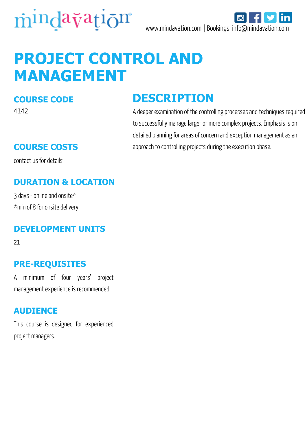



# **PROJECT CONTROL AND MANAGEMENT**

#### **COURSE CODE**

4142

contact us for details

### **DURATION & LOCATION**

3 days - online and onsite\* \*min of 8 for onsite delivery

#### **DEVELOPMENT UNITS**

21

#### **PRE-REQUISITES**

A minimum of four years' project management experience is recommended.

#### **AUDIENCE**

This course is designed for experienced project managers.

### **DESCRIPTION**

A deeper examination of the controlling processes and techniques required to successfully manage larger or more complex projects. Emphasis is on detailed planning for areas of concern and exception management as an **COURSE COSTS** approach to controlling projects during the execution phase.